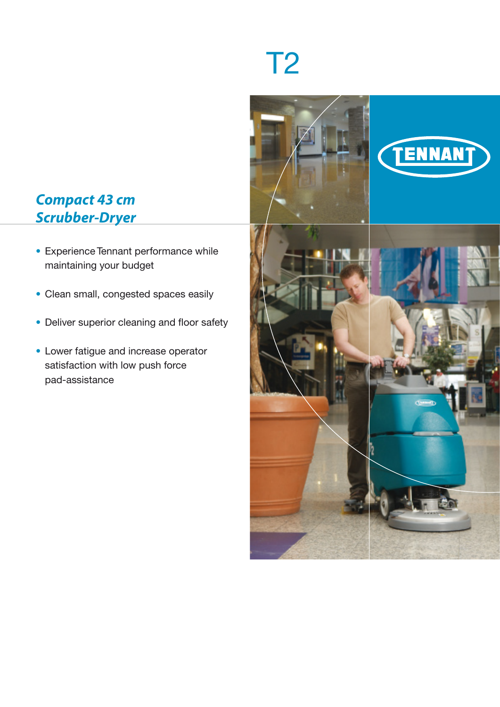# T2



# *Compact 43 cm Scrubber-Dryer*

- Experience Tennant performance while maintaining your budget
- Clean small, congested spaces easily
- Deliver superior cleaning and floor safety
- Lower fatigue and increase operator satisfaction with low push force pad-assistance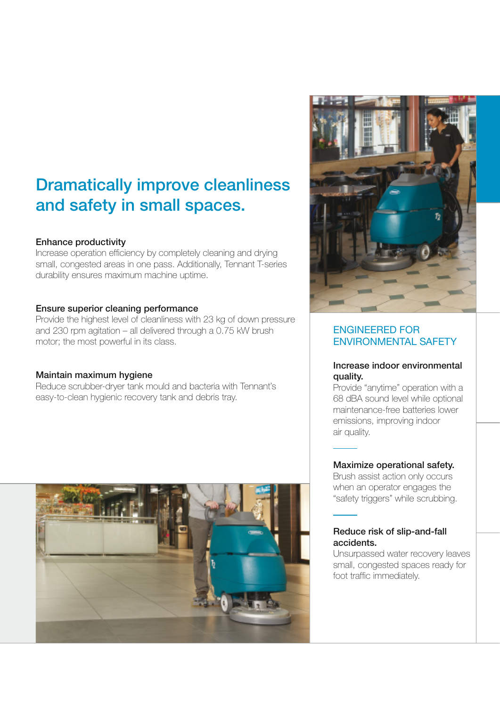# Dramatically improve cleanliness and safety in small spaces.

### Enhance productivity

Increase operation efficiency by completely cleaning and drying small, congested areas in one pass. Additionally, Tennant T-series durability ensures maximum machine uptime.

### Ensure superior cleaning performance

Provide the highest level of cleanliness with 23 kg of down pressure and 230 rpm agitation – all delivered through a 0.75 kW brush motor; the most powerful in its class.

### Maintain maximum hygiene

Reduce scrubber-dryer tank mould and bacteria with Tennant's easy-to-clean hygienic recovery tank and debris tray.





## ENGINEERED FOR ENVIRONMENTAL SAFETY

### Increase indoor environmental quality.

Provide "anytime" operation with a 68 dBA sound level while optional maintenance-free batteries lower emissions, improving indoor air quality.

### Maximize operational safety.

Brush assist action only occurs when an operator engages the "safety triggers" while scrubbing.

### Reduce risk of slip-and-fall accidents.

Unsurpassed water recovery leaves small, congested spaces ready for foot traffic immediately.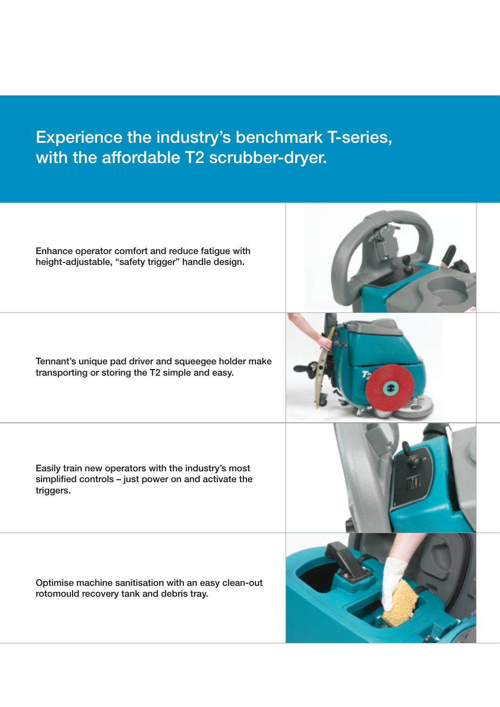# Experience the industry's benchmark T-series, with the affordable T2 scrubber-dryer.